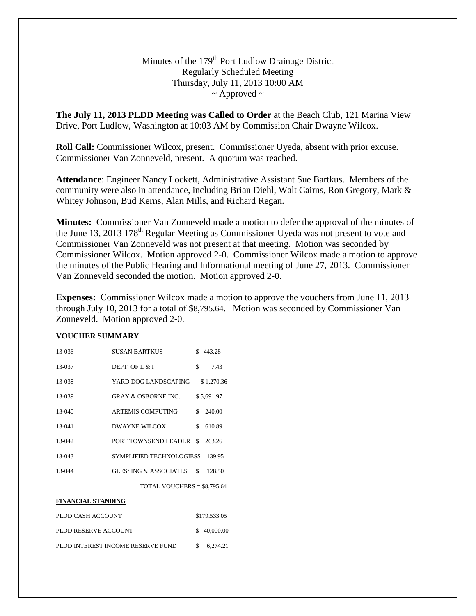## Minutes of the  $179<sup>th</sup>$  Port Ludlow Drainage District Regularly Scheduled Meeting Thursday, July 11, 2013 10:00 AM  $\sim$  Approved  $\sim$

**The July 11, 2013 PLDD Meeting was Called to Order** at the Beach Club, 121 Marina View Drive, Port Ludlow, Washington at 10:03 AM by Commission Chair Dwayne Wilcox.

**Roll Call:** Commissioner Wilcox, present. Commissioner Uyeda, absent with prior excuse. Commissioner Van Zonneveld, present. A quorum was reached.

**Attendance**: Engineer Nancy Lockett, Administrative Assistant Sue Bartkus. Members of the community were also in attendance, including Brian Diehl, Walt Cairns, Ron Gregory, Mark & Whitey Johnson, Bud Kerns, Alan Mills, and Richard Regan.

**Minutes:** Commissioner Van Zonneveld made a motion to defer the approval of the minutes of the June 13, 2013 178<sup>th</sup> Regular Meeting as Commissioner Uyeda was not present to vote and Commissioner Van Zonneveld was not present at that meeting. Motion was seconded by Commissioner Wilcox. Motion approved 2-0. Commissioner Wilcox made a motion to approve the minutes of the Public Hearing and Informational meeting of June 27, 2013. Commissioner Van Zonneveld seconded the motion. Motion approved 2-0.

**Expenses:** Commissioner Wilcox made a motion to approve the vouchers from June 11, 2013 through July 10, 2013 for a total of \$8,795.64. Motion was seconded by Commissioner Van Zonneveld. Motion approved 2-0.

## **VOUCHER SUMMARY**

| 13-036                    | <b>SUSAN BARTKUS</b>           |    | \$443.28     |  |
|---------------------------|--------------------------------|----|--------------|--|
| 13-037                    | DEPT. OF L & I                 | \$ | 7.43         |  |
| 13-038                    | YARD DOG LANDSCAPING           |    | \$1,270.36   |  |
| 13-039                    | <b>GRAY &amp; OSBORNE INC.</b> |    | \$5,691.97   |  |
| 13-040                    | <b>ARTEMIS COMPUTING</b>       | \$ | 240.00       |  |
| 13-041                    | <b>DWAYNE WILCOX</b>           | \$ | 610.89       |  |
| 13-042                    | PORT TOWNSEND LEADER           | \$ | 263.26       |  |
| 13-043                    | SYMPLIFIED TECHNOLOGIES\$      |    | 139.95       |  |
| 13-044                    | GLESSING & ASSOCIATES          | \$ | 128.50       |  |
|                           | TOTAL VOUCHERS = \$8,795.64    |    |              |  |
| <b>FINANCIAL STANDING</b> |                                |    |              |  |
| PLDD CASH ACCOUNT         |                                |    | \$179.533.05 |  |

| PLDD RESERVE ACCOUNT              |    | \$40,000.00 |
|-----------------------------------|----|-------------|
| PLDD INTEREST INCOME RESERVE FUND | S. | 6,274.21    |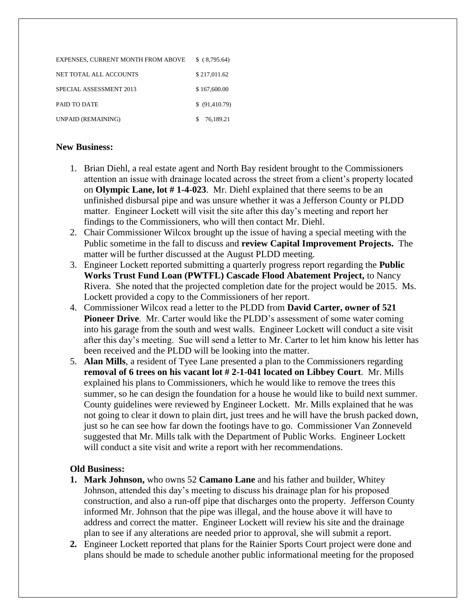| EXPENSES, CURRENT MONTH FROM ABOVE | \$ (8,795.64)   |
|------------------------------------|-----------------|
| NET TOTAL ALL ACCOUNTS             | \$217,011.62    |
| SPECIAL ASSESSMENT 2013            | \$167,600.00    |
| PAID TO DATE                       | \$ (91, 410.79) |
| UNPAID (REMAINING)                 | 76.189.21       |

## **New Business:**

- 1. Brian Diehl, a real estate agent and North Bay resident brought to the Commissioners attention an issue with drainage located across the street from a client's property located on **Olympic Lane, lot # 1-4-023**. Mr. Diehl explained that there seems to be an unfinished disbursal pipe and was unsure whether it was a Jefferson County or PLDD matter. Engineer Lockett will visit the site after this day's meeting and report her findings to the Commissioners, who will then contact Mr. Diehl.
- 2. Chair Commissioner Wilcox brought up the issue of having a special meeting with the Public sometime in the fall to discuss and **review Capital Improvement Projects.** The matter will be further discussed at the August PLDD meeting.
- 3. Engineer Lockett reported submitting a quarterly progress report regarding the **Public Works Trust Fund Loan (PWTFL) Cascade Flood Abatement Project,** to Nancy Rivera. She noted that the projected completion date for the project would be 2015. Ms. Lockett provided a copy to the Commissioners of her report.
- 4. Commissioner Wilcox read a letter to the PLDD from **David Carter, owner of 521 Pioneer Drive**. Mr. Carter would like the PLDD's assessment of some water coming into his garage from the south and west walls. Engineer Lockett will conduct a site visit after this day's meeting. Sue will send a letter to Mr. Carter to let him know his letter has been received and the PLDD will be looking into the matter.
- 5. **Alan Mills**, a resident of Tyee Lane presented a plan to the Commissioners regarding **removal of 6 trees on his vacant lot # 2-1-041 located on Libbey Court**. Mr. Mills explained his plans to Commissioners, which he would like to remove the trees this summer, so he can design the foundation for a house he would like to build next summer. County guidelines were reviewed by Engineer Lockett. Mr. Mills explained that he was not going to clear it down to plain dirt, just trees and he will have the brush packed down, just so he can see how far down the footings have to go. Commissioner Van Zonneveld suggested that Mr. Mills talk with the Department of Public Works. Engineer Lockett will conduct a site visit and write a report with her recommendations.

## **Old Business:**

- **1. Mark Johnson,** who owns 52 **Camano Lane** and his father and builder, Whitey Johnson, attended this day's meeting to discuss his drainage plan for his proposed construction, and also a run-off pipe that discharges onto the property. Jefferson County informed Mr. Johnson that the pipe was illegal, and the house above it will have to address and correct the matter. Engineer Lockett will review his site and the drainage plan to see if any alterations are needed prior to approval, she will submit a report.
- **2.** Engineer Lockett reported that plans for the Rainier Sports Court project were done and plans should be made to schedule another public informational meeting for the proposed